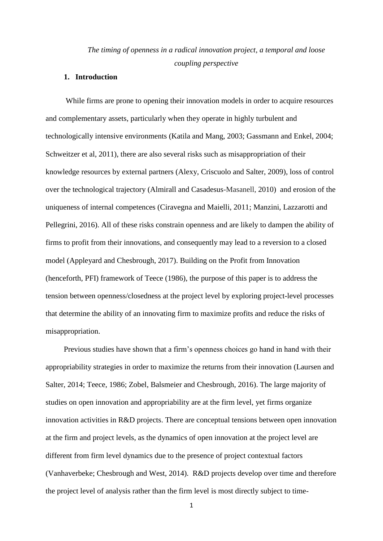# *The timing of openness in a radical innovation project, a temporal and loose coupling perspective*

#### **1. Introduction**

While firms are prone to opening their innovation models in order to acquire resources and complementary assets, particularly when they operate in highly turbulent and technologically intensive environments (Katila and Mang, 2003; Gassmann and Enkel, 2004; Schweitzer et al, 2011), there are also several risks such as misappropriation of their knowledge resources by external partners (Alexy, Criscuolo and Salter, 2009), loss of control over the technological trajectory (Almirall and Casadesus-Masanell, 2010) and erosion of the uniqueness of internal competences (Ciravegna and Maielli, 2011; Manzini, Lazzarotti and Pellegrini, 2016). All of these risks constrain openness and are likely to dampen the ability of firms to profit from their innovations, and consequently may lead to a reversion to a closed model (Appleyard and Chesbrough, 2017). Building on the Profit from Innovation (henceforth, PFI) framework of Teece (1986), the purpose of this paper is to address the tension between openness/closedness at the project level by exploring project-level processes that determine the ability of an innovating firm to maximize profits and reduce the risks of misappropriation.

Previous studies have shown that a firm's openness choices go hand in hand with their appropriability strategies in order to maximize the returns from their innovation (Laursen and Salter, 2014; Teece, 1986; Zobel, Balsmeier and Chesbrough, 2016). The large majority of studies on open innovation and appropriability are at the firm level, yet firms organize innovation activities in R&D projects. There are conceptual tensions between open innovation at the firm and project levels, as the dynamics of open innovation at the project level are different from firm level dynamics due to the presence of project contextual factors (Vanhaverbeke; Chesbrough and West, 2014). R&D projects develop over time and therefore the project level of analysis rather than the firm level is most directly subject to time-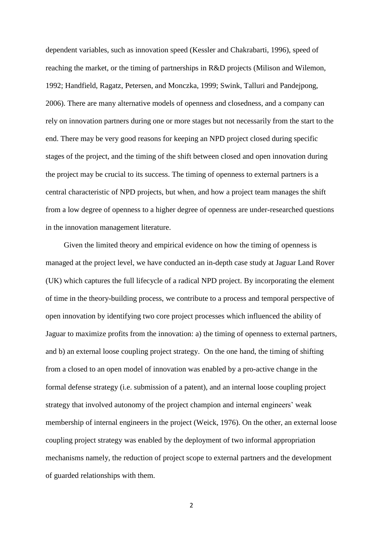dependent variables, such as innovation speed (Kessler and Chakrabarti, 1996), speed of reaching the market, or the timing of partnerships in R&D projects (Milison and Wilemon, 1992; Handfield, Ragatz, Petersen, and Monczka, 1999; Swink, Talluri and Pandejpong, 2006). There are many alternative models of openness and closedness, and a company can rely on innovation partners during one or more stages but not necessarily from the start to the end. There may be very good reasons for keeping an NPD project closed during specific stages of the project, and the timing of the shift between closed and open innovation during the project may be crucial to its success. The timing of openness to external partners is a central characteristic of NPD projects, but when, and how a project team manages the shift from a low degree of openness to a higher degree of openness are under-researched questions in the innovation management literature.

Given the limited theory and empirical evidence on how the timing of openness is managed at the project level, we have conducted an in-depth case study at Jaguar Land Rover (UK) which captures the full lifecycle of a radical NPD project. By incorporating the element of time in the theory-building process, we contribute to a process and temporal perspective of open innovation by identifying two core project processes which influenced the ability of Jaguar to maximize profits from the innovation: a) the timing of openness to external partners, and b) an external loose coupling project strategy. On the one hand, the timing of shifting from a closed to an open model of innovation was enabled by a pro-active change in the formal defense strategy (i.e. submission of a patent), and an internal loose coupling project strategy that involved autonomy of the project champion and internal engineers' weak membership of internal engineers in the project (Weick, 1976). On the other, an external loose coupling project strategy was enabled by the deployment of two informal appropriation mechanisms namely, the reduction of project scope to external partners and the development of guarded relationships with them.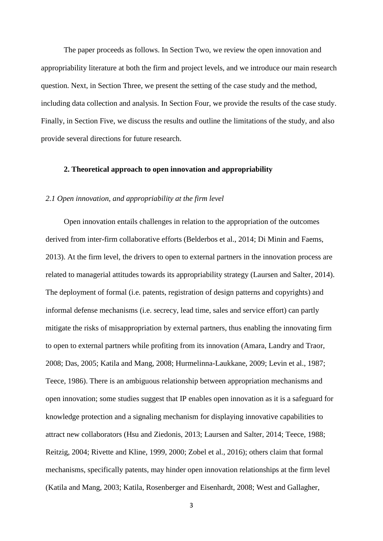The paper proceeds as follows. In Section Two, we review the open innovation and appropriability literature at both the firm and project levels, and we introduce our main research question. Next, in Section Three, we present the setting of the case study and the method, including data collection and analysis. In Section Four, we provide the results of the case study. Finally, in Section Five, we discuss the results and outline the limitations of the study, and also provide several directions for future research.

#### **2. Theoretical approach to open innovation and appropriability**

#### *2.1 Open innovation, and appropriability at the firm level*

Open innovation entails challenges in relation to the appropriation of the outcomes derived from inter-firm collaborative efforts (Belderbos et al., 2014; Di Minin and Faems, 2013). At the firm level, the drivers to open to external partners in the innovation process are related to managerial attitudes towards its appropriability strategy (Laursen and Salter, 2014). The deployment of formal (i.e. patents, registration of design patterns and copyrights) and informal defense mechanisms (i.e. secrecy, lead time, sales and service effort) can partly mitigate the risks of misappropriation by external partners, thus enabling the innovating firm to open to external partners while profiting from its innovation (Amara, Landry and Traor, 2008; Das, 2005; Katila and Mang, 2008; Hurmelinna-Laukkane, 2009; Levin et al., 1987; Teece, 1986). There is an ambiguous relationship between appropriation mechanisms and open innovation; some studies suggest that IP enables open innovation as it is a safeguard for knowledge protection and a signaling mechanism for displaying innovative capabilities to attract new collaborators (Hsu and Ziedonis, 2013; Laursen and Salter, 2014; Teece, 1988; Reitzig, 2004; Rivette and Kline, 1999, 2000; Zobel et al., 2016); others claim that formal mechanisms, specifically patents, may hinder open innovation relationships at the firm level (Katila and Mang, 2003; Katila, Rosenberger and Eisenhardt, 2008; West and Gallagher,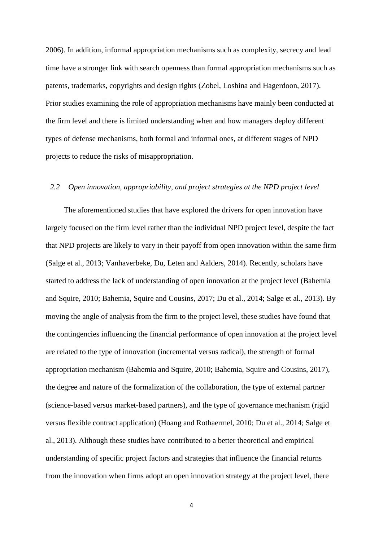2006). In addition, informal appropriation mechanisms such as complexity, secrecy and lead time have a stronger link with search openness than formal appropriation mechanisms such as patents, trademarks, copyrights and design rights (Zobel, Loshina and Hagerdoon, 2017). Prior studies examining the role of appropriation mechanisms have mainly been conducted at the firm level and there is limited understanding when and how managers deploy different types of defense mechanisms, both formal and informal ones, at different stages of NPD projects to reduce the risks of misappropriation.

### *2.2 Open innovation, appropriability, and project strategies at the NPD project level*

The aforementioned studies that have explored the drivers for open innovation have largely focused on the firm level rather than the individual NPD project level, despite the fact that NPD projects are likely to vary in their payoff from open innovation within the same firm (Salge et al., 2013; Vanhaverbeke, Du, Leten and Aalders, 2014). Recently, scholars have started to address the lack of understanding of open innovation at the project level (Bahemia and Squire, 2010; Bahemia, Squire and Cousins, 2017; Du et al., 2014; Salge et al., 2013). By moving the angle of analysis from the firm to the project level, these studies have found that the contingencies influencing the financial performance of open innovation at the project level are related to the type of innovation (incremental versus radical), the strength of formal appropriation mechanism (Bahemia and Squire, 2010; Bahemia, Squire and Cousins, 2017), the degree and nature of the formalization of the collaboration, the type of external partner (science-based versus market-based partners), and the type of governance mechanism (rigid versus flexible contract application) (Hoang and Rothaermel, 2010; Du et al., 2014; Salge et al., 2013). Although these studies have contributed to a better theoretical and empirical understanding of specific project factors and strategies that influence the financial returns from the innovation when firms adopt an open innovation strategy at the project level, there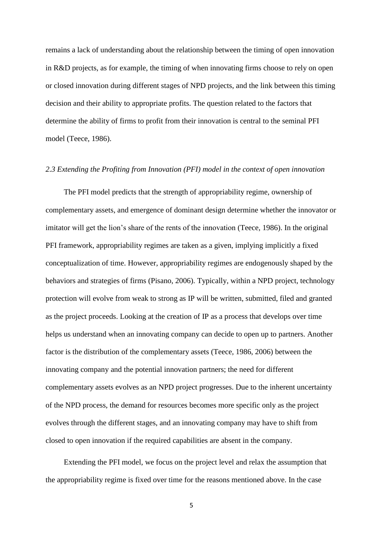remains a lack of understanding about the relationship between the timing of open innovation in R&D projects, as for example, the timing of when innovating firms choose to rely on open or closed innovation during different stages of NPD projects, and the link between this timing decision and their ability to appropriate profits. The question related to the factors that determine the ability of firms to profit from their innovation is central to the seminal PFI model (Teece, 1986).

#### *2.3 Extending the Profiting from Innovation (PFI) model in the context of open innovation*

The PFI model predicts that the strength of appropriability regime, ownership of complementary assets, and emergence of dominant design determine whether the innovator or imitator will get the lion's share of the rents of the innovation (Teece, 1986). In the original PFI framework, appropriability regimes are taken as a given, implying implicitly a fixed conceptualization of time. However, appropriability regimes are endogenously shaped by the behaviors and strategies of firms (Pisano, 2006). Typically, within a NPD project, technology protection will evolve from weak to strong as IP will be written, submitted, filed and granted as the project proceeds. Looking at the creation of IP as a process that develops over time helps us understand when an innovating company can decide to open up to partners. Another factor is the distribution of the complementary assets (Teece, 1986, 2006) between the innovating company and the potential innovation partners; the need for different complementary assets evolves as an NPD project progresses. Due to the inherent uncertainty of the NPD process, the demand for resources becomes more specific only as the project evolves through the different stages, and an innovating company may have to shift from closed to open innovation if the required capabilities are absent in the company.

Extending the PFI model, we focus on the project level and relax the assumption that the appropriability regime is fixed over time for the reasons mentioned above. In the case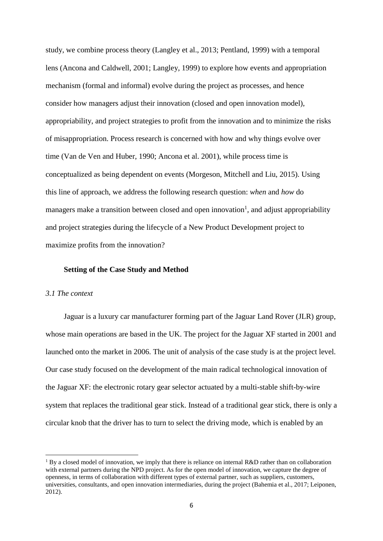study, we combine process theory (Langley et al., 2013; Pentland, 1999) with a temporal lens (Ancona and Caldwell, 2001; Langley, 1999) to explore how events and appropriation mechanism (formal and informal) evolve during the project as processes, and hence consider how managers adjust their innovation (closed and open innovation model), appropriability, and project strategies to profit from the innovation and to minimize the risks of misappropriation. Process research is concerned with how and why things evolve over time (Van de Ven and Huber, 1990; Ancona et al. 2001), while process time is conceptualized as being dependent on events (Morgeson, Mitchell and Liu, 2015). Using this line of approach, we address the following research question: *when* and *how* do managers make a transition between closed and open innovation<sup>1</sup>, and adjust appropriability and project strategies during the lifecycle of a New Product Development project to maximize profits from the innovation?

#### **Setting of the Case Study and Method**

#### *3.1 The context*

 $\overline{a}$ 

Jaguar is a luxury car manufacturer forming part of the Jaguar Land Rover (JLR) group, whose main operations are based in the UK. The project for the Jaguar XF started in 2001 and launched onto the market in 2006. The unit of analysis of the case study is at the project level. Our case study focused on the development of the main radical technological innovation of the Jaguar XF: the electronic rotary gear selector actuated by a multi-stable shift-by-wire system that replaces the traditional gear stick. Instead of a traditional gear stick, there is only a circular knob that the driver has to turn to select the driving mode, which is enabled by an

<sup>&</sup>lt;sup>1</sup> By a closed model of innovation, we imply that there is reliance on internal R&D rather than on collaboration with external partners during the NPD project. As for the open model of innovation, we capture the degree of openness, in terms of collaboration with different types of external partner, such as suppliers, customers, universities, consultants, and open innovation intermediaries, during the project (Bahemia et al., 2017; Leiponen, 2012).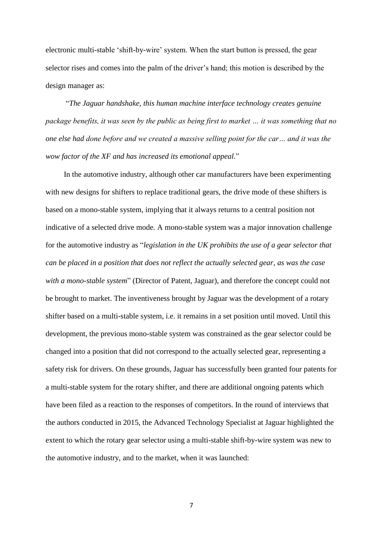electronic multi-stable 'shift-by-wire' system. When the start button is pressed, the gear selector rises and comes into the palm of the driver's hand; this motion is described by the design manager as:

"*The Jaguar handshake, this human machine interface technology creates genuine package benefits, it was seen by the public as being first to market … it was something that no one else had done before and we created a massive selling point for the car… and it was the wow factor of the XF and has increased its emotional appeal.*"

In the automotive industry, although other car manufacturers have been experimenting with new designs for shifters to replace traditional gears, the drive mode of these shifters is based on a mono-stable system, implying that it always returns to a central position not indicative of a selected drive mode*.* A mono-stable system was a major innovation challenge for the automotive industry as "*legislation in the UK prohibits the use of a gear selector that can be placed in a position that does not reflect the actually selected gear, as was the case with a mono-stable system*" (Director of Patent, Jaguar), and therefore the concept could not be brought to market. The inventiveness brought by Jaguar was the development of a rotary shifter based on a multi-stable system, i.e. it remains in a set position until moved. Until this development, the previous mono-stable system was constrained as the gear selector could be changed into a position that did not correspond to the actually selected gear, representing a safety risk for drivers. On these grounds, Jaguar has successfully been granted four patents for a multi-stable system for the rotary shifter, and there are additional ongoing patents which have been filed as a reaction to the responses of competitors. In the round of interviews that the authors conducted in 2015, the Advanced Technology Specialist at Jaguar highlighted the extent to which the rotary gear selector using a multi-stable shift-by-wire system was new to the automotive industry, and to the market, when it was launched: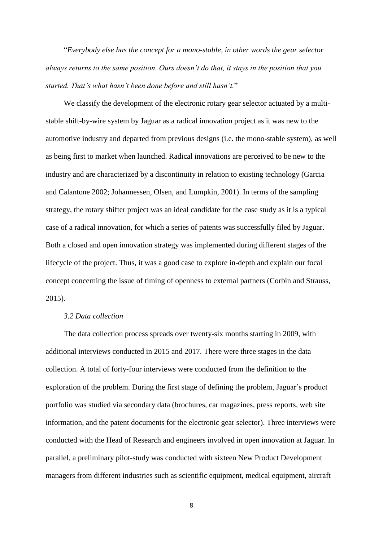"*Everybody else has the concept for a mono-stable, in other words the gear selector always returns to the same position. Ours doesn't do that, it stays in the position that you started. That's what hasn't been done before and still hasn't.*"

We classify the development of the electronic rotary gear selector actuated by a multistable shift-by-wire system by Jaguar as a radical innovation project as it was new to the automotive industry and departed from previous designs (i.e. the mono-stable system), as well as being first to market when launched. Radical innovations are perceived to be new to the industry and are characterized by a discontinuity in relation to existing technology (Garcia and Calantone 2002; Johannessen, Olsen, and Lumpkin, 2001). In terms of the sampling strategy, the rotary shifter project was an ideal candidate for the case study as it is a typical case of a radical innovation, for which a series of patents was successfully filed by Jaguar. Both a closed and open innovation strategy was implemented during different stages of the lifecycle of the project. Thus, it was a good case to explore in-depth and explain our focal concept concerning the issue of timing of openness to external partners (Corbin and Strauss, 2015).

#### *3.2 Data collection*

The data collection process spreads over twenty-six months starting in 2009, with additional interviews conducted in 2015 and 2017. There were three stages in the data collection. A total of forty-four interviews were conducted from the definition to the exploration of the problem. During the first stage of defining the problem, Jaguar's product portfolio was studied via secondary data (brochures, car magazines, press reports, web site information, and the patent documents for the electronic gear selector). Three interviews were conducted with the Head of Research and engineers involved in open innovation at Jaguar. In parallel, a preliminary pilot-study was conducted with sixteen New Product Development managers from different industries such as scientific equipment, medical equipment, aircraft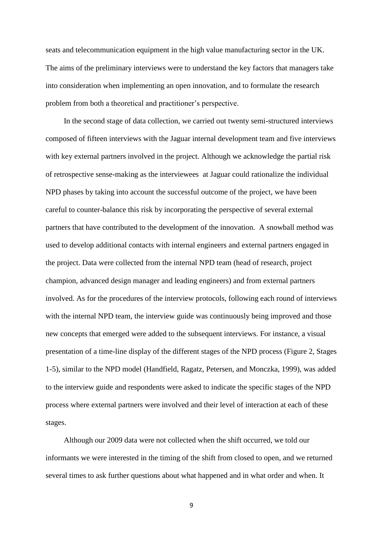seats and telecommunication equipment in the high value manufacturing sector in the UK. The aims of the preliminary interviews were to understand the key factors that managers take into consideration when implementing an open innovation, and to formulate the research problem from both a theoretical and practitioner's perspective.

In the second stage of data collection, we carried out twenty semi-structured interviews composed of fifteen interviews with the Jaguar internal development team and five interviews with key external partners involved in the project. Although we acknowledge the partial risk of retrospective sense-making as the interviewees at Jaguar could rationalize the individual NPD phases by taking into account the successful outcome of the project, we have been careful to counter-balance this risk by incorporating the perspective of several external partners that have contributed to the development of the innovation. A snowball method was used to develop additional contacts with internal engineers and external partners engaged in the project. Data were collected from the internal NPD team (head of research, project champion, advanced design manager and leading engineers) and from external partners involved. As for the procedures of the interview protocols, following each round of interviews with the internal NPD team, the interview guide was continuously being improved and those new concepts that emerged were added to the subsequent interviews. For instance, a visual presentation of a time-line display of the different stages of the NPD process (Figure 2, Stages 1-5), similar to the NPD model (Handfield, Ragatz, Petersen, and Monczka, 1999), was added to the interview guide and respondents were asked to indicate the specific stages of the NPD process where external partners were involved and their level of interaction at each of these stages.

Although our 2009 data were not collected when the shift occurred, we told our informants we were interested in the timing of the shift from closed to open, and we returned several times to ask further questions about what happened and in what order and when. It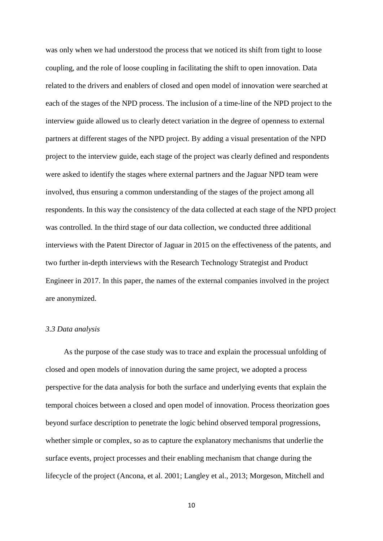was only when we had understood the process that we noticed its shift from tight to loose coupling, and the role of loose coupling in facilitating the shift to open innovation. Data related to the drivers and enablers of closed and open model of innovation were searched at each of the stages of the NPD process. The inclusion of a time-line of the NPD project to the interview guide allowed us to clearly detect variation in the degree of openness to external partners at different stages of the NPD project. By adding a visual presentation of the NPD project to the interview guide, each stage of the project was clearly defined and respondents were asked to identify the stages where external partners and the Jaguar NPD team were involved, thus ensuring a common understanding of the stages of the project among all respondents. In this way the consistency of the data collected at each stage of the NPD project was controlled. In the third stage of our data collection, we conducted three additional interviews with the Patent Director of Jaguar in 2015 on the effectiveness of the patents, and two further in-depth interviews with the Research Technology Strategist and Product Engineer in 2017. In this paper, the names of the external companies involved in the project are anonymized.

#### *3.3 Data analysis*

As the purpose of the case study was to trace and explain the processual unfolding of closed and open models of innovation during the same project, we adopted a process perspective for the data analysis for both the surface and underlying events that explain the temporal choices between a closed and open model of innovation. Process theorization goes beyond surface description to penetrate the logic behind observed temporal progressions, whether simple or complex, so as to capture the explanatory mechanisms that underlie the surface events, project processes and their enabling mechanism that change during the lifecycle of the project (Ancona, et al. 2001; Langley et al., 2013; Morgeson, Mitchell and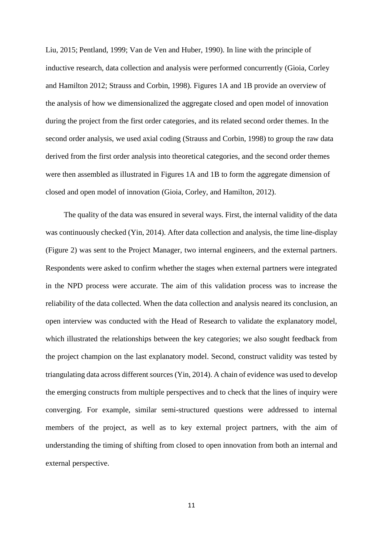Liu, 2015; Pentland, 1999; Van de Ven and Huber, 1990). In line with the principle of inductive research, data collection and analysis were performed concurrently (Gioia, Corley and Hamilton 2012; Strauss and Corbin, 1998). Figures 1A and 1B provide an overview of the analysis of how we dimensionalized the aggregate closed and open model of innovation during the project from the first order categories, and its related second order themes. In the second order analysis, we used axial coding (Strauss and Corbin, 1998) to group the raw data derived from the first order analysis into theoretical categories, and the second order themes were then assembled as illustrated in Figures 1A and 1B to form the aggregate dimension of closed and open model of innovation (Gioia, Corley, and Hamilton, 2012).

The quality of the data was ensured in several ways. First, the internal validity of the data was continuously checked (Yin, 2014). After data collection and analysis, the time line-display (Figure 2) was sent to the Project Manager, two internal engineers, and the external partners. Respondents were asked to confirm whether the stages when external partners were integrated in the NPD process were accurate. The aim of this validation process was to increase the reliability of the data collected. When the data collection and analysis neared its conclusion, an open interview was conducted with the Head of Research to validate the explanatory model, which illustrated the relationships between the key categories; we also sought feedback from the project champion on the last explanatory model. Second, construct validity was tested by triangulating data across different sources (Yin, 2014). A chain of evidence was used to develop the emerging constructs from multiple perspectives and to check that the lines of inquiry were converging. For example, similar semi-structured questions were addressed to internal members of the project, as well as to key external project partners, with the aim of understanding the timing of shifting from closed to open innovation from both an internal and external perspective.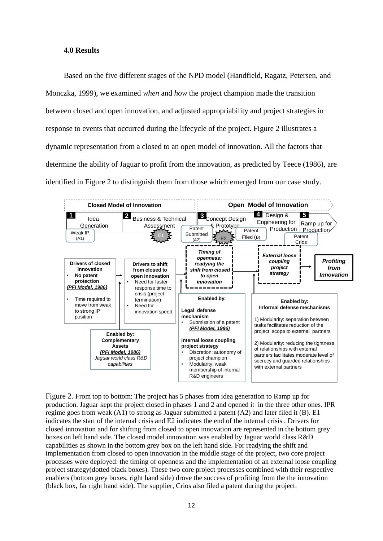#### **4.0 Results**

Based on the five different stages of the NPD model (Handfield, Ragatz, Petersen, and Monczka, 1999), we examined *when* and *how* the project champion made the transition between closed and open innovation, and adjusted appropriability and project strategies in response to events that occurred during the lifecycle of the project. Figure 2 illustrates a dynamic representation from a closed to an open model of innovation. All the factors that determine the ability of Jaguar to profit from the innovation, as predicted by Teece (1986), are identified in Figure 2 to distinguish them from those which emerged from our case study.



Figure 2. From top to bottom: The project has 5 phases from idea generation to Ramp up for production. Jaguar kept the project closed in phases 1 and 2 and opened it in the three other ones. IPR regime goes from weak  $(A1)$  to strong as Jaguar submitted a patent  $(A2)$  and later filed it  $(B)$ . E1 indicates the start of the internal crisis and E2 indicates the end of the internal crisis . Drivers for closed innovation and for shifting from closed to open innovation are represented in the bottom grey boxes on left hand side. The closed model innovation was enabled by Jaguar world class R&D capabilities as shown in the bottom grey box on the left hand side. For readying the shift and implementation from closed to open innovation in the middle stage of the project, two core project processes were deployed: the timing of openness and the implementation of an external loose coupling project strategy(dotted black boxes). These two core project processes combined with their respective enablers (bottom grey boxes, right hand side) drove the success of profiting from the the innovation (black box, far right hand side). The supplier, Crios also filed a patent during the project.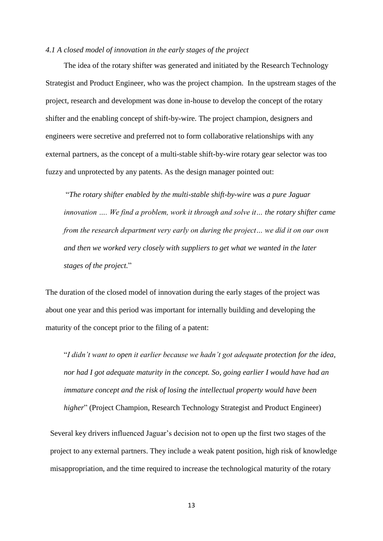### *4.1 A closed model of innovation in the early stages of the project*

The idea of the rotary shifter was generated and initiated by the Research Technology Strategist and Product Engineer, who was the project champion. In the upstream stages of the project, research and development was done in-house to develop the concept of the rotary shifter and the enabling concept of shift-by-wire. The project champion, designers and engineers were secretive and preferred not to form collaborative relationships with any external partners, as the concept of a multi-stable shift-by-wire rotary gear selector was too fuzzy and unprotected by any patents. As the design manager pointed out:

"*The rotary shifter enabled by the multi-stable shift-by-wire was a pure Jaguar innovation …. We find a problem, work it through and solve it… the rotary shifter came from the research department very early on during the project… we did it on our own and then we worked very closely with suppliers to get what we wanted in the later stages of the project.*"

The duration of the closed model of innovation during the early stages of the project was about one year and this period was important for internally building and developing the maturity of the concept prior to the filing of a patent:

"*I didn't want to open it earlier because we hadn't got adequate protection for the idea, nor had I got adequate maturity in the concept. So, going earlier I would have had an immature concept and the risk of losing the intellectual property would have been higher*" (Project Champion, Research Technology Strategist and Product Engineer)

Several key drivers influenced Jaguar's decision not to open up the first two stages of the project to any external partners. They include a weak patent position, high risk of knowledge misappropriation, and the time required to increase the technological maturity of the rotary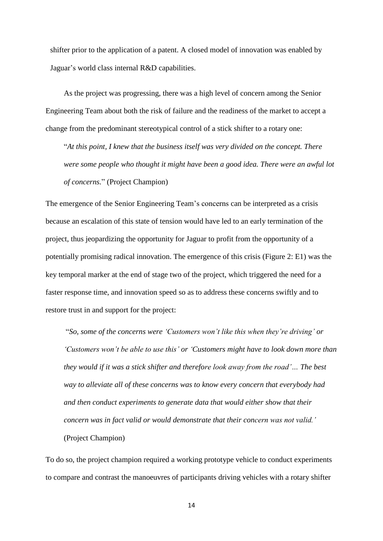shifter prior to the application of a patent. A closed model of innovation was enabled by Jaguar's world class internal R&D capabilities.

As the project was progressing, there was a high level of concern among the Senior Engineering Team about both the risk of failure and the readiness of the market to accept a change from the predominant stereotypical control of a stick shifter to a rotary one:

"*At this point, I knew that the business itself was very divided on the concept. There were some people who thought it might have been a good idea. There were an awful lot of concerns.*" (Project Champion)

The emergence of the Senior Engineering Team's concerns can be interpreted as a crisis because an escalation of this state of tension would have led to an early termination of the project, thus jeopardizing the opportunity for Jaguar to profit from the opportunity of a potentially promising radical innovation. The emergence of this crisis (Figure 2: E1) was the key temporal marker at the end of stage two of the project, which triggered the need for a faster response time, and innovation speed so as to address these concerns swiftly and to restore trust in and support for the project:

"*So, some of the concerns were 'Customers won't like this when they're driving' or 'Customers won't be able to use this' or 'Customers might have to look down more than they would if it was a stick shifter and therefore look away from the road'… The best way to alleviate all of these concerns was to know every concern that everybody had and then conduct experiments to generate data that would either show that their concern was in fact valid or would demonstrate that their concern was not valid.'*  (Project Champion)

To do so, the project champion required a working prototype vehicle to conduct experiments to compare and contrast the manoeuvres of participants driving vehicles with a rotary shifter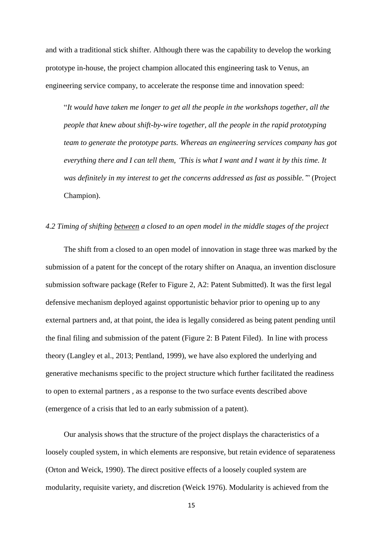and with a traditional stick shifter. Although there was the capability to develop the working prototype in-house, the project champion allocated this engineering task to Venus, an engineering service company, to accelerate the response time and innovation speed:

"*It would have taken me longer to get all the people in the workshops together, all the people that knew about shift-by-wire together, all the people in the rapid prototyping team to generate the prototype parts. Whereas an engineering services company has got everything there and I can tell them, 'This is what I want and I want it by this time. It was definitely in my interest to get the concerns addressed as fast as possible.'*" (Project Champion).

#### *4.2 Timing of shifting between a closed to an open model in the middle stages of the project*

The shift from a closed to an open model of innovation in stage three was marked by the submission of a patent for the concept of the rotary shifter on Anaqua, an invention disclosure submission software package (Refer to Figure 2, A2: Patent Submitted). It was the first legal defensive mechanism deployed against opportunistic behavior prior to opening up to any external partners and, at that point, the idea is legally considered as being patent pending until the final filing and submission of the patent (Figure 2: B Patent Filed). In line with process theory (Langley et al., 2013; Pentland, 1999), we have also explored the underlying and generative mechanisms specific to the project structure which further facilitated the readiness to open to external partners , as a response to the two surface events described above (emergence of a crisis that led to an early submission of a patent).

Our analysis shows that the structure of the project displays the characteristics of a loosely coupled system, in which elements are responsive, but retain evidence of separateness (Orton and Weick, 1990). The direct positive effects of a loosely coupled system are modularity, requisite variety, and discretion (Weick 1976). Modularity is achieved from the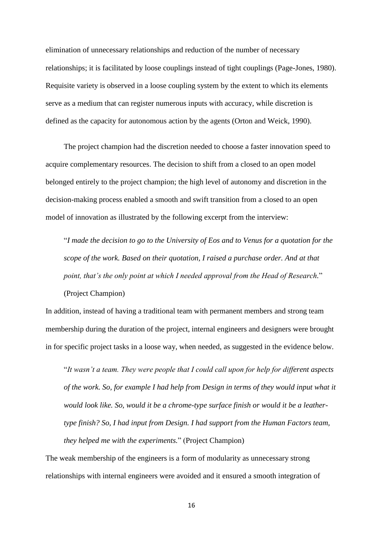elimination of unnecessary relationships and reduction of the number of necessary relationships; it is facilitated by loose couplings instead of tight couplings (Page-Jones, 1980). Requisite variety is observed in a loose coupling system by the extent to which its elements serve as a medium that can register numerous inputs with accuracy, while discretion is defined as the capacity for autonomous action by the agents (Orton and Weick, 1990).

The project champion had the discretion needed to choose a faster innovation speed to acquire complementary resources. The decision to shift from a closed to an open model belonged entirely to the project champion; the high level of autonomy and discretion in the decision-making process enabled a smooth and swift transition from a closed to an open model of innovation as illustrated by the following excerpt from the interview:

"*I made the decision to go to the University of Eos and to Venus for a quotation for the scope of the work. Based on their quotation, I raised a purchase order. And at that point, that's the only point at which I needed approval from the Head of Research.*" (Project Champion)

In addition, instead of having a traditional team with permanent members and strong team membership during the duration of the project, internal engineers and designers were brought in for specific project tasks in a loose way, when needed, as suggested in the evidence below.

"*It wasn't a team. They were people that I could call upon for help for different aspects of the work. So, for example I had help from Design in terms of they would input what it would look like. So, would it be a chrome-type surface finish or would it be a leathertype finish? So, I had input from Design. I had support from the Human Factors team, they helped me with the experiments.*" (Project Champion)

The weak membership of the engineers is a form of modularity as unnecessary strong relationships with internal engineers were avoided and it ensured a smooth integration of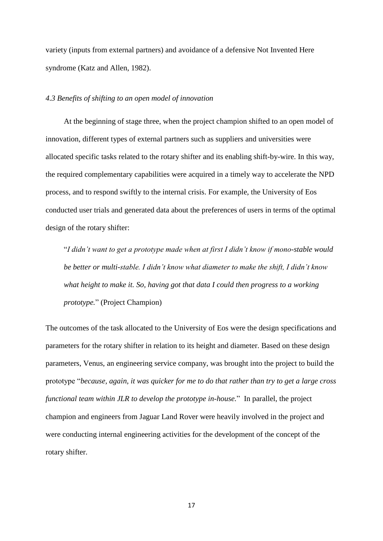variety (inputs from external partners) and avoidance of a defensive Not Invented Here syndrome (Katz and Allen, 1982).

#### *4.3 Benefits of shifting to an open model of innovation*

At the beginning of stage three, when the project champion shifted to an open model of innovation, different types of external partners such as suppliers and universities were allocated specific tasks related to the rotary shifter and its enabling shift-by-wire. In this way, the required complementary capabilities were acquired in a timely way to accelerate the NPD process, and to respond swiftly to the internal crisis. For example, the University of Eos conducted user trials and generated data about the preferences of users in terms of the optimal design of the rotary shifter:

"*I didn't want to get a prototype made when at first I didn't know if mono-stable would be better or multi-stable. I didn't know what diameter to make the shift, I didn't know what height to make it. So, having got that data I could then progress to a working prototype.*" (Project Champion)

The outcomes of the task allocated to the University of Eos were the design specifications and parameters for the rotary shifter in relation to its height and diameter. Based on these design parameters, Venus, an engineering service company, was brought into the project to build the prototype "*because, again, it was quicker for me to do that rather than try to get a large cross functional team within JLR to develop the prototype in-house.*"In parallel, the project champion and engineers from Jaguar Land Rover were heavily involved in the project and were conducting internal engineering activities for the development of the concept of the rotary shifter.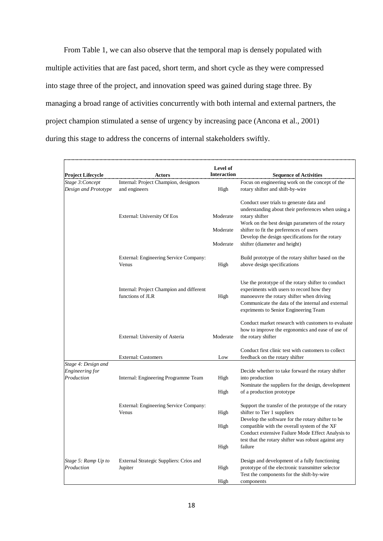From Table 1, we can also observe that the temporal map is densely populated with multiple activities that are fast paced, short term, and short cycle as they were compressed into stage three of the project, and innovation speed was gained during stage three. By managing a broad range of activities concurrently with both internal and external partners, the project champion stimulated a sense of urgency by increasing pace (Ancona et al., 2001) during this stage to address the concerns of internal stakeholders swiftly.

|                                        |                                          | Level of           |                                                                      |
|----------------------------------------|------------------------------------------|--------------------|----------------------------------------------------------------------|
| <b>Project Lifecycle</b>               | Actors                                   | <b>Interaction</b> | <b>Sequence of Activities</b>                                        |
| Stage 3: Concept                       | Internal: Project Champion, designors    |                    | Focus on engineering work on the concept of the                      |
| Design and Prototype                   | and engineers                            | High               | rotary shifter and shift-by-wire                                     |
|                                        |                                          |                    |                                                                      |
|                                        |                                          |                    | Conduct user trials to generate data and                             |
|                                        |                                          |                    | understanding about their preferences when using a                   |
|                                        | External: University Of Eos              | Moderate           | rotary shifter                                                       |
|                                        |                                          |                    | Work on the best design parameters of the rotary                     |
|                                        |                                          | Moderate           | shifter to fit the preferences of users                              |
|                                        |                                          |                    | Develop the design specifications for the rotary                     |
|                                        |                                          | Moderate           | shifter (diameter and height)                                        |
|                                        | External: Engineering Service Company:   |                    | Build prototype of the rotary shifter based on the                   |
|                                        | Venus                                    | High               | above design specifications                                          |
|                                        |                                          |                    |                                                                      |
|                                        |                                          |                    | Use the prototype of the rotary shifter to conduct                   |
|                                        | Internal: Project Champion and different |                    | experiments with users to record how they                            |
|                                        | functions of JLR                         | High               | manoeuvre the rotary shifter when driving                            |
|                                        |                                          |                    | Communicate the data of the internal and external                    |
|                                        |                                          |                    | expriments to Senior Engineering Team                                |
|                                        |                                          |                    | Conduct market research with customers to evaluate                   |
|                                        |                                          |                    | how to improve the ergonomics and ease of use of                     |
|                                        | External: University of Asteria          | Moderate           | the rotary shifter                                                   |
|                                        |                                          |                    |                                                                      |
|                                        |                                          |                    | Conduct first clinic test with customers to collect                  |
|                                        | <b>External: Customers</b>               | Low                | feedback on the rotary shifter                                       |
| Stage 4: Design and<br>Engineering for |                                          |                    |                                                                      |
| Production                             | Internal: Engineering Programme Team     | High               | Decide whether to take forward the rotary shifter<br>into production |
|                                        |                                          |                    | Nominate the suppliers for the design, development                   |
|                                        |                                          | High               | of a production prototype                                            |
|                                        |                                          |                    |                                                                      |
|                                        | External: Engineering Service Company:   |                    | Support the transfer of the prototype of the rotary                  |
|                                        | Venus                                    | High               | shifter to Tier 1 suppliers                                          |
|                                        |                                          |                    | Develop the software for the rotary shifter to be                    |
|                                        |                                          | High               | compatible with the overall system of the XF                         |
|                                        |                                          |                    | Conduct extensive Failure Mode Effect Analysis to                    |
|                                        |                                          |                    | test that the rotary shifter was robust against any                  |
|                                        |                                          | High               | failure                                                              |
| Stage 5: Ramp Up to<br>Production      | External Strategic Suppliers: Crios and  |                    | Design and development of a fully functioning                        |
|                                        | Jupiter                                  | High               | prototype of the electronic transmitter selector                     |
|                                        |                                          |                    | Test the components for the shift-by-wire                            |
|                                        |                                          | High               | components                                                           |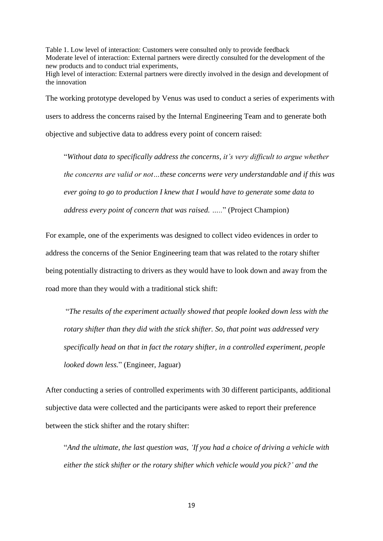Table 1. Low level of interaction: Customers were consulted only to provide feedback Moderate level of interaction: External partners were directly consulted for the development of the new products and to conduct trial experiments, High level of interaction: External partners were directly involved in the design and development of the innovation

The working prototype developed by Venus was used to conduct a series of experiments with users to address the concerns raised by the Internal Engineering Team and to generate both objective and subjective data to address every point of concern raised:

"*Without data to specifically address the concerns, it's very difficult to argue whether the concerns are valid or not…these concerns were very understandable and if this was ever going to go to production I knew that I would have to generate some data to address every point of concern that was raised. …..*" (Project Champion)

For example, one of the experiments was designed to collect video evidences in order to address the concerns of the Senior Engineering team that was related to the rotary shifter being potentially distracting to drivers as they would have to look down and away from the road more than they would with a traditional stick shift:

"*The results of the experiment actually showed that people looked down less with the rotary shifter than they did with the stick shifter. So, that point was addressed very specifically head on that in fact the rotary shifter, in a controlled experiment, people looked down less.*" (Engineer, Jaguar)

After conducting a series of controlled experiments with 30 different participants, additional subjective data were collected and the participants were asked to report their preference between the stick shifter and the rotary shifter:

"*And the ultimate, the last question was, 'If you had a choice of driving a vehicle with either the stick shifter or the rotary shifter which vehicle would you pick?' and the*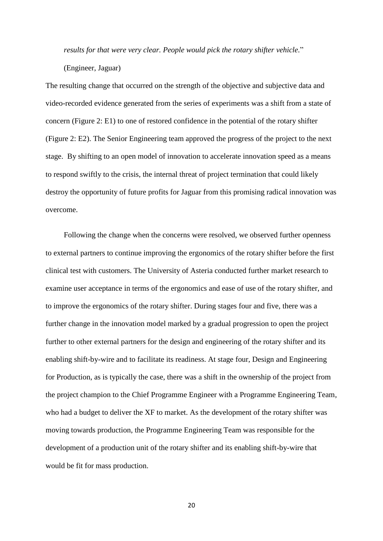*results for that were very clear. People would pick the rotary shifter vehicle.*"

(Engineer, Jaguar)

The resulting change that occurred on the strength of the objective and subjective data and video-recorded evidence generated from the series of experiments was a shift from a state of concern (Figure 2: E1) to one of restored confidence in the potential of the rotary shifter (Figure 2: E2). The Senior Engineering team approved the progress of the project to the next stage. By shifting to an open model of innovation to accelerate innovation speed as a means to respond swiftly to the crisis, the internal threat of project termination that could likely destroy the opportunity of future profits for Jaguar from this promising radical innovation was overcome.

Following the change when the concerns were resolved, we observed further openness to external partners to continue improving the ergonomics of the rotary shifter before the first clinical test with customers. The University of Asteria conducted further market research to examine user acceptance in terms of the ergonomics and ease of use of the rotary shifter, and to improve the ergonomics of the rotary shifter. During stages four and five, there was a further change in the innovation model marked by a gradual progression to open the project further to other external partners for the design and engineering of the rotary shifter and its enabling shift-by-wire and to facilitate its readiness. At stage four, Design and Engineering for Production, as is typically the case, there was a shift in the ownership of the project from the project champion to the Chief Programme Engineer with a Programme Engineering Team, who had a budget to deliver the XF to market. As the development of the rotary shifter was moving towards production, the Programme Engineering Team was responsible for the development of a production unit of the rotary shifter and its enabling shift-by-wire that would be fit for mass production.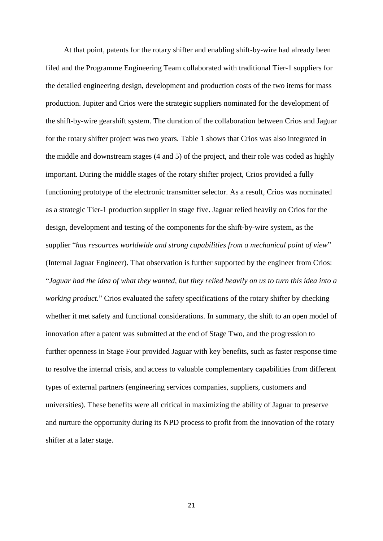At that point, patents for the rotary shifter and enabling shift-by-wire had already been filed and the Programme Engineering Team collaborated with traditional Tier-1 suppliers for the detailed engineering design, development and production costs of the two items for mass production. Jupiter and Crios were the strategic suppliers nominated for the development of the shift-by-wire gearshift system. The duration of the collaboration between Crios and Jaguar for the rotary shifter project was two years. Table 1 shows that Crios was also integrated in the middle and downstream stages (4 and 5) of the project, and their role was coded as highly important. During the middle stages of the rotary shifter project, Crios provided a fully functioning prototype of the electronic transmitter selector. As a result, Crios was nominated as a strategic Tier-1 production supplier in stage five. Jaguar relied heavily on Crios for the design, development and testing of the components for the shift-by-wire system, as the supplier "*has resources worldwide and strong capabilities from a mechanical point of view*" (Internal Jaguar Engineer). That observation is further supported by the engineer from Crios: "*Jaguar had the idea of what they wanted, but they relied heavily on us to turn this idea into a working product.*" Crios evaluated the safety specifications of the rotary shifter by checking whether it met safety and functional considerations. In summary, the shift to an open model of innovation after a patent was submitted at the end of Stage Two, and the progression to further openness in Stage Four provided Jaguar with key benefits, such as faster response time to resolve the internal crisis, and access to valuable complementary capabilities from different types of external partners (engineering services companies, suppliers, customers and universities). These benefits were all critical in maximizing the ability of Jaguar to preserve and nurture the opportunity during its NPD process to profit from the innovation of the rotary shifter at a later stage.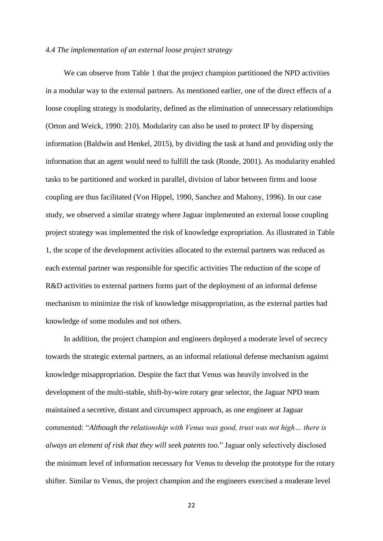#### *4.4 The implementation of an external loose project strategy*

We can observe from Table 1 that the project champion partitioned the NPD activities in a modular way to the external partners. As mentioned earlier, one of the direct effects of a loose coupling strategy is modularity, defined as the elimination of unnecessary relationships (Orton and Weick, 1990: 210). Modularity can also be used to protect IP by dispersing information (Baldwin and Henkel, 2015), by dividing the task at hand and providing only the information that an agent would need to fulfill the task (Ronde, 2001). As modularity enabled tasks to be partitioned and worked in parallel, division of labor between firms and loose coupling are thus facilitated (Von Hippel, 1990, Sanchez and Mahony, 1996). In our case study, we observed a similar strategy where Jaguar implemented an external loose coupling project strategy was implemented the risk of knowledge expropriation. As illustrated in Table 1, the scope of the development activities allocated to the external partners was reduced as each external partner was responsible for specific activities The reduction of the scope of R&D activities to external partners forms part of the deployment of an informal defense mechanism to minimize the risk of knowledge misappropriation, as the external parties had knowledge of some modules and not others.

In addition, the project champion and engineers deployed a moderate level of secrecy towards the strategic external partners, as an informal relational defense mechanism against knowledge misappropriation. Despite the fact that Venus was heavily involved in the development of the multi-stable, shift-by-wire rotary gear selector, the Jaguar NPD team maintained a secretive, distant and circumspect approach, as one engineer at Jaguar commented: "*Although the relationship with Venus was good, trust was not high… there is always an element of risk that they will seek patents too.*" Jaguar only selectively disclosed the minimum level of information necessary for Venus to develop the prototype for the rotary shifter. Similar to Venus, the project champion and the engineers exercised a moderate level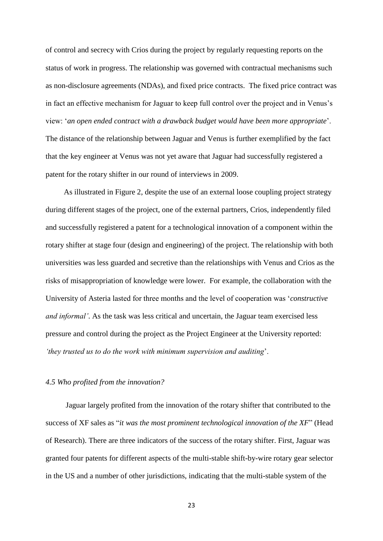of control and secrecy with Crios during the project by regularly requesting reports on the status of work in progress. The relationship was governed with contractual mechanisms such as non-disclosure agreements (NDAs), and fixed price contracts. The fixed price contract was in fact an effective mechanism for Jaguar to keep full control over the project and in Venus's view: '*an open ended contract with a drawback budget would have been more appropriate*'. The distance of the relationship between Jaguar and Venus is further exemplified by the fact that the key engineer at Venus was not yet aware that Jaguar had successfully registered a patent for the rotary shifter in our round of interviews in 2009.

As illustrated in Figure 2, despite the use of an external loose coupling project strategy during different stages of the project, one of the external partners, Crios, independently filed and successfully registered a patent for a technological innovation of a component within the rotary shifter at stage four (design and engineering) of the project. The relationship with both universities was less guarded and secretive than the relationships with Venus and Crios as the risks of misappropriation of knowledge were lower. For example, the collaboration with the University of Asteria lasted for three months and the level of cooperation was '*constructive and informal'*. As the task was less critical and uncertain, the Jaguar team exercised less pressure and control during the project as the Project Engineer at the University reported: *'they trusted us to do the work with minimum supervision and auditing*'.

#### *4.5 Who profited from the innovation?*

Jaguar largely profited from the innovation of the rotary shifter that contributed to the success of XF sales as "*it was the most prominent technological innovation of the XF*" (Head of Research). There are three indicators of the success of the rotary shifter. First, Jaguar was granted four patents for different aspects of the multi-stable shift-by-wire rotary gear selector in the US and a number of other jurisdictions, indicating that the multi-stable system of the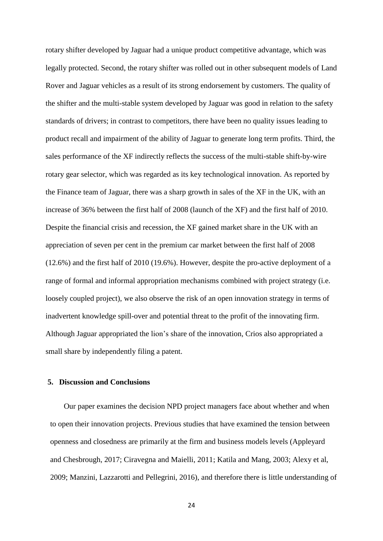rotary shifter developed by Jaguar had a unique product competitive advantage, which was legally protected. Second, the rotary shifter was rolled out in other subsequent models of Land Rover and Jaguar vehicles as a result of its strong endorsement by customers. The quality of the shifter and the multi-stable system developed by Jaguar was good in relation to the safety standards of drivers; in contrast to competitors, there have been no quality issues leading to product recall and impairment of the ability of Jaguar to generate long term profits. Third, the sales performance of the XF indirectly reflects the success of the multi-stable shift-by-wire rotary gear selector, which was regarded as its key technological innovation. As reported by the Finance team of Jaguar, there was a sharp growth in sales of the XF in the UK, with an increase of 36% between the first half of 2008 (launch of the XF) and the first half of 2010. Despite the financial crisis and recession, the XF gained market share in the UK with an appreciation of seven per cent in the premium car market between the first half of 2008 (12.6%) and the first half of 2010 (19.6%). However, despite the pro-active deployment of a range of formal and informal appropriation mechanisms combined with project strategy (i.e. loosely coupled project), we also observe the risk of an open innovation strategy in terms of inadvertent knowledge spill-over and potential threat to the profit of the innovating firm. Although Jaguar appropriated the lion's share of the innovation, Crios also appropriated a small share by independently filing a patent.

#### **5. Discussion and Conclusions**

Our paper examines the decision NPD project managers face about whether and when to open their innovation projects. Previous studies that have examined the tension between openness and closedness are primarily at the firm and business models levels (Appleyard and Chesbrough, 2017; Ciravegna and Maielli, 2011; Katila and Mang, 2003; Alexy et al, 2009; Manzini, Lazzarotti and Pellegrini, 2016), and therefore there is little understanding of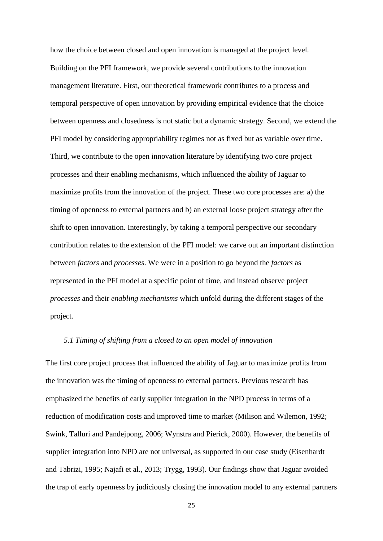how the choice between closed and open innovation is managed at the project level. Building on the PFI framework, we provide several contributions to the innovation management literature. First, our theoretical framework contributes to a process and temporal perspective of open innovation by providing empirical evidence that the choice between openness and closedness is not static but a dynamic strategy. Second, we extend the PFI model by considering appropriability regimes not as fixed but as variable over time. Third, we contribute to the open innovation literature by identifying two core project processes and their enabling mechanisms, which influenced the ability of Jaguar to maximize profits from the innovation of the project. These two core processes are: a) the timing of openness to external partners and b) an external loose project strategy after the shift to open innovation. Interestingly, by taking a temporal perspective our secondary contribution relates to the extension of the PFI model: we carve out an important distinction between *factors* and *processes*. We were in a position to go beyond the *factors* as represented in the PFI model at a specific point of time, and instead observe project *processes* and their *enabling mechanisms* which unfold during the different stages of the project.

#### *5.1 Timing of shifting from a closed to an open model of innovation*

The first core project process that influenced the ability of Jaguar to maximize profits from the innovation was the timing of openness to external partners. Previous research has emphasized the benefits of early supplier integration in the NPD process in terms of a reduction of modification costs and improved time to market (Milison and Wilemon, 1992; Swink, Talluri and Pandejpong, 2006; Wynstra and Pierick, 2000). However, the benefits of supplier integration into NPD are not universal, as supported in our case study [\(Eisenhardt](#page-31-0)  [and Tabrizi, 1995;](#page-31-0) Najafi et al., 2013; Trygg, 1993). Our findings show that Jaguar avoided the trap of early openness by judiciously closing the innovation model to any external partners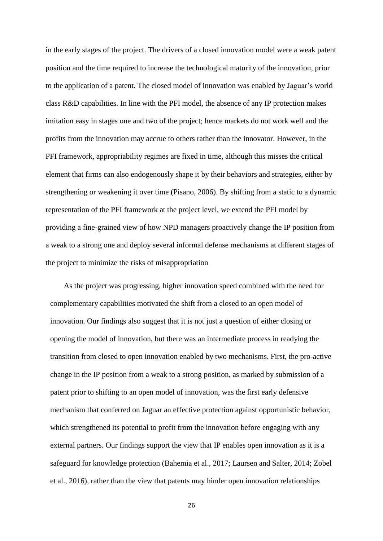in the early stages of the project. The drivers of a closed innovation model were a weak patent position and the time required to increase the technological maturity of the innovation, prior to the application of a patent. The closed model of innovation was enabled by Jaguar's world class R&D capabilities. In line with the PFI model, the absence of any IP protection makes imitation easy in stages one and two of the project; hence markets do not work well and the profits from the innovation may accrue to others rather than the innovator. However, in the PFI framework, appropriability regimes are fixed in time, although this misses the critical element that firms can also endogenously shape it by their behaviors and strategies, either by strengthening or weakening it over time (Pisano, 2006). By shifting from a static to a dynamic representation of the PFI framework at the project level, we extend the PFI model by providing a fine-grained view of how NPD managers proactively change the IP position from a weak to a strong one and deploy several informal defense mechanisms at different stages of the project to minimize the risks of misappropriation

As the project was progressing, higher innovation speed combined with the need for complementary capabilities motivated the shift from a closed to an open model of innovation. Our findings also suggest that it is not just a question of either closing or opening the model of innovation, but there was an intermediate process in readying the transition from closed to open innovation enabled by two mechanisms. First, the pro-active change in the IP position from a weak to a strong position, as marked by submission of a patent prior to shifting to an open model of innovation, was the first early defensive mechanism that conferred on Jaguar an effective protection against opportunistic behavior, which strengthened its potential to profit from the innovation before engaging with any external partners. Our findings support the view that IP enables open innovation as it is a safeguard for knowledge protection (Bahemia et al., 2017; Laursen and Salter, 2014; Zobel et al., 2016), rather than the view that patents may hinder open innovation relationships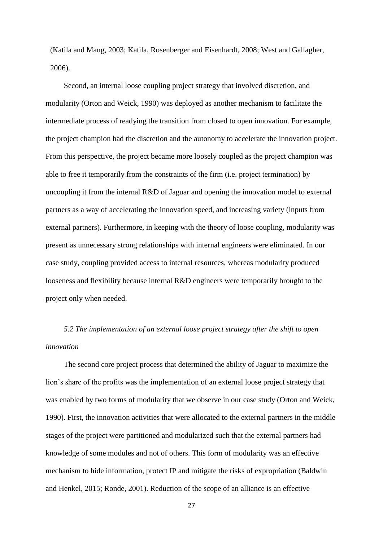(Katila and Mang, 2003; Katila, Rosenberger and Eisenhardt, 2008; West and Gallagher, 2006).

Second, an internal loose coupling project strategy that involved discretion, and modularity (Orton and Weick, 1990) was deployed as another mechanism to facilitate the intermediate process of readying the transition from closed to open innovation. For example, the project champion had the discretion and the autonomy to accelerate the innovation project. From this perspective, the project became more loosely coupled as the project champion was able to free it temporarily from the constraints of the firm (i.e. project termination) by uncoupling it from the internal R&D of Jaguar and opening the innovation model to external partners as a way of accelerating the innovation speed, and increasing variety (inputs from external partners). Furthermore, in keeping with the theory of loose coupling, modularity was present as unnecessary strong relationships with internal engineers were eliminated. In our case study, coupling provided access to internal resources, whereas modularity produced looseness and flexibility because internal R&D engineers were temporarily brought to the project only when needed.

*5.2 The implementation of an external loose project strategy after the shift to open innovation*

The second core project process that determined the ability of Jaguar to maximize the lion's share of the profits was the implementation of an external loose project strategy that was enabled by two forms of modularity that we observe in our case study (Orton and Weick, 1990). First, the innovation activities that were allocated to the external partners in the middle stages of the project were partitioned and modularized such that the external partners had knowledge of some modules and not of others. This form of modularity was an effective mechanism to hide information, protect IP and mitigate the risks of expropriation (Baldwin and Henkel, 2015; Ronde, 2001). Reduction of the scope of an alliance is an effective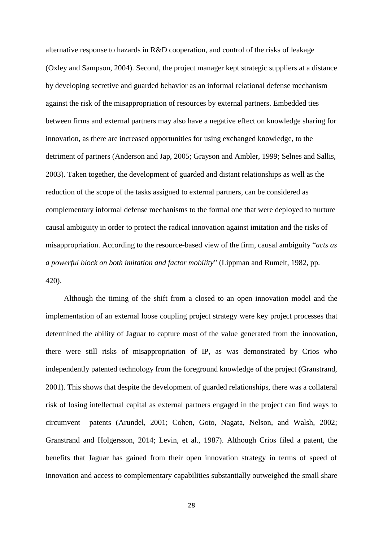alternative response to hazards in R&D cooperation, and control of the risks of leakage (Oxley and Sampson, 2004). Second, the project manager kept strategic suppliers at a distance by developing secretive and guarded behavior as an informal relational defense mechanism against the risk of the misappropriation of resources by external partners. Embedded ties between firms and external partners may also have a negative effect on knowledge sharing for innovation, as there are increased opportunities for using exchanged knowledge, to the detriment of partners (Anderson and Jap, 2005; Grayson and Ambler, 1999; Selnes and Sallis, 2003). Taken together, the development of guarded and distant relationships as well as the reduction of the scope of the tasks assigned to external partners, can be considered as complementary informal defense mechanisms to the formal one that were deployed to nurture causal ambiguity in order to protect the radical innovation against imitation and the risks of misappropriation. According to the resource-based view of the firm, causal ambiguity "*acts as a powerful block on both imitation and factor mobility*" (Lippman and Rumelt, 1982, pp. 420).

Although the timing of the shift from a closed to an open innovation model and the implementation of an external loose coupling project strategy were key project processes that determined the ability of Jaguar to capture most of the value generated from the innovation, there were still risks of misappropriation of IP, as was demonstrated by Crios who independently patented technology from the foreground knowledge of the project (Granstrand, 2001). This shows that despite the development of guarded relationships, there was a collateral risk of losing intellectual capital as external partners engaged in the project can find ways to circumvent patents (Arundel, 2001; Cohen, Goto, Nagata, Nelson, and Walsh, 2002; Granstrand and Holgersson, 2014; Levin, et al., 1987). Although Crios filed a patent, the benefits that Jaguar has gained from their open innovation strategy in terms of speed of innovation and access to complementary capabilities substantially outweighed the small share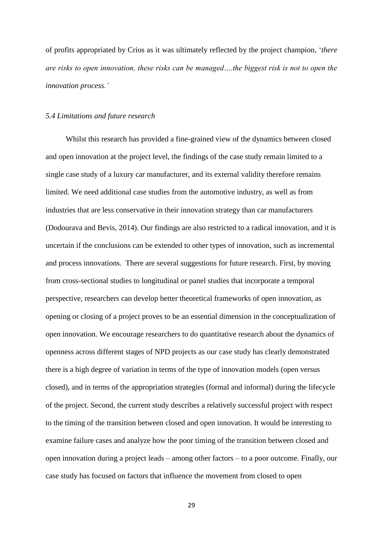of profits appropriated by Crios as it was ultimately reflected by the project champion, '*there are risks to open innovation, these risks can be managed….the biggest risk is not to open the innovation process.'* 

#### *5.4 Limitations and future research*

Whilst this research has provided a fine-grained view of the dynamics between closed and open innovation at the project level, the findings of the case study remain limited to a single case study of a luxury car manufacturer, and its external validity therefore remains limited. We need additional case studies from the automotive industry, as well as from industries that are less conservative in their innovation strategy than car manufacturers (Dodourava and Bevis, 2014). Our findings are also restricted to a radical innovation, and it is uncertain if the conclusions can be extended to other types of innovation, such as incremental and process innovations. There are several suggestions for future research. First, by moving from cross-sectional studies to longitudinal or panel studies that incorporate a temporal perspective, researchers can develop better theoretical frameworks of open innovation, as opening or closing of a project proves to be an essential dimension in the conceptualization of open innovation. We encourage researchers to do quantitative research about the dynamics of openness across different stages of NPD projects as our case study has clearly demonstrated there is a high degree of variation in terms of the type of innovation models (open versus closed), and in terms of the appropriation strategies (formal and informal) during the lifecycle of the project. Second, the current study describes a relatively successful project with respect to the timing of the transition between closed and open innovation. It would be interesting to examine failure cases and analyze how the poor timing of the transition between closed and open innovation during a project leads – among other factors – to a poor outcome. Finally, our case study has focused on factors that influence the movement from closed to open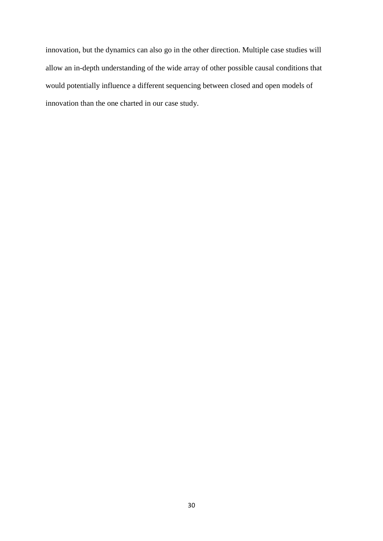innovation, but the dynamics can also go in the other direction. Multiple case studies will allow an in-depth understanding of the wide array of other possible causal conditions that would potentially influence a different sequencing between closed and open models of innovation than the one charted in our case study.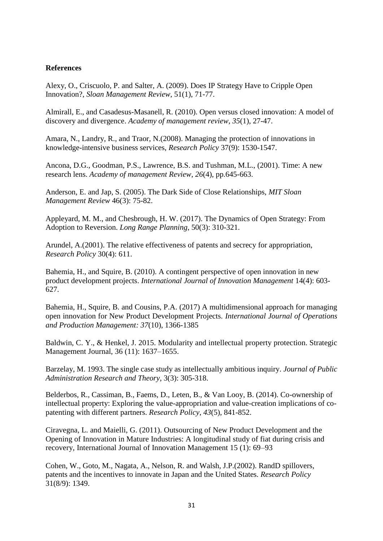### **References**

Alexy, O., Criscuolo, P. and Salter, A. (2009). Does IP Strategy Have to Cripple Open Innovation?, *Sloan Management Review*, 51(1), 71-77.

Almirall, E., and Casadesus-Masanell, R. (2010). Open versus closed innovation: A model of discovery and divergence. *Academy of management review*, *35*(1), 27-47.

Amara, N., Landry, R., and Traor, N.(2008). Managing the protection of innovations in knowledge-intensive business services, *Research Policy* 37(9): 1530-1547.

Ancona, D.G., Goodman, P.S., Lawrence, B.S. and Tushman, M.L., (2001). Time: A new research lens. *Academy of management Review*, *26*(4), pp.645-663.

Anderson, E. and Jap, S. (2005). The Dark Side of Close Relationships, *MIT Sloan Management Review* 46(3): 75-82.

Appleyard, M. M., and Chesbrough, H. W. (2017). The Dynamics of Open Strategy: From Adoption to Reversion. *Long Range Planning*, 50(3): 310-321.

Arundel, A.(2001). The relative effectiveness of patents and secrecy for appropriation, *Research Policy* 30(4): 611.

Bahemia, H., and Squire, B. (2010). A contingent perspective of open innovation in new product development projects. *International Journal of Innovation Management* 14(4): 603- 627.

Bahemia, H., Squire, B. and Cousins, P.A. (2017) A multidimensional approach for managing open innovation for New Product Development Projects. *International Journal of Operations and Production Management: 37*(10), 1366-1385

Baldwin, C. Y., & Henkel, J. 2015. Modularity and intellectual property protection. Strategic Management Journal, 36 (11): 1637–1655.

Barzelay, M. 1993. The single case study as intellectually ambitious inquiry. *Journal of Public Administration Research and Theory*, 3(3): 305-318.

Belderbos, R., Cassiman, B., Faems, D., Leten, B., & Van Looy, B. (2014). Co-ownership of intellectual property: Exploring the value-appropriation and value-creation implications of copatenting with different partners. *Research Policy*, *43*(5), 841-852.

Ciravegna, L. and Maielli, G. (2011). Outsourcing of New Product Development and the Opening of Innovation in Mature Industries: A longitudinal study of fiat during crisis and recovery, International Journal of Innovation Management 15 (1): 69–93

Cohen, W., Goto, M., Nagata, A., Nelson, R. and Walsh, J.P.(2002). RandD spillovers, patents and the incentives to innovate in Japan and the United States. *Research Policy* 31(8/9): 1349.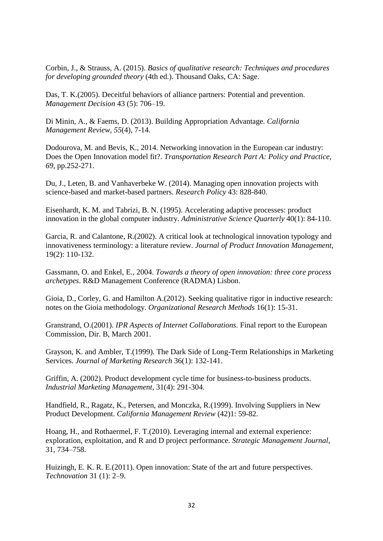Corbin, J., & Strauss, A. (2015). *Basics of qualitative research: Techniques and procedures for developing grounded theory* (4th ed.). Thousand Oaks, CA: Sage.

Das, T. K.(2005). Deceitful behaviors of alliance partners: Potential and prevention. *Management Decision* 43 (5): 706–19.

Di Minin, A., & Faems, D. (2013). Building Appropriation Advantage. *California Management Review*, *55*(4), 7-14.

Dodourova, M. and Bevis, K., 2014. Networking innovation in the European car industry: Does the Open Innovation model fit?. *Transportation Research Part A: Policy and Practice*, *69*, pp.252-271.

Du, J., Leten, B. and Vanhaverbeke W. (2014). Managing open innovation projects with science-based and market-based partners. *Research Policy* 43: 828-840.

<span id="page-31-0"></span>Eisenhardt, K. M. and Tabrizi, B. N. (1995). Accelerating adaptive processes: product innovation in the global computer industry. *Administrative Science Quarterly* 40(1): 84-110.

Garcia, R. and Calantone, R.(2002). A critical look at technological innovation typology and innovativeness terminology: a literature review. *Journal of Product Innovation Management*, 19(2): 110-132.

Gassmann, O. and Enkel, E., 2004. *Towards a theory of open innovation: three core process archetypes*. R&D Management Conference (RADMA) Lisbon.

Gioia, D., Corley, G. and Hamilton A.(2012). Seeking qualitative rigor in inductive research: notes on the Gioia methodology. *Organizational Research Methods* 16(1): 15-31.

Granstrand, O.(2001). *IPR Aspects of Internet Collaborations.* Final report to the European Commission, Dir. B, March 2001.

Grayson, K. and Ambler, T.(1999). The Dark Side of Long-Term Relationships in Marketing Services. *Journal of Marketing Research* 36(1): 132-141.

Griffin, A. (2002). Product development cycle time for business-to-business products. *Industrial Marketing Management,* 31(4): 291-304.

Handfield, R., Ragatz, K., Petersen, and Monczka, R.(1999). Involving Suppliers in New Product Development. *California Management Review* (42)1: 59-82.

Hoang, H., and Rothaermel, F. T.(2010). Leveraging internal and external experience: exploration, exploitation, and R and D project performance. *Strategic Management Journal,* 31, 734–758.

Huizingh, E. K. R. E.(2011). Open innovation: State of the art and future perspectives. *Technovation* 31 (1): 2–9.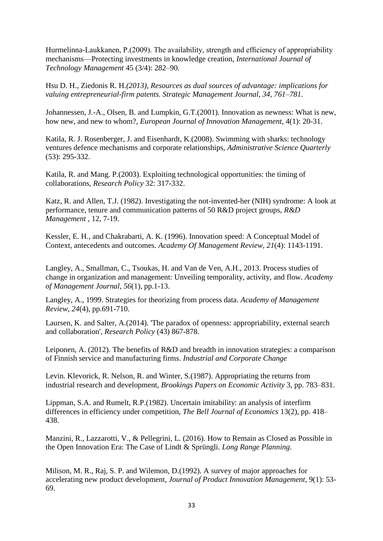Hurmelinna-Laukkanen, P.(2009). The availability, strength and efficiency of appropriability mechanisms—Protecting investments in knowledge creation, *International Journal of Technology Management* 45 (3/4): 282–90.

Hsu D. H., Ziedonis R. H.*(2013), Resources as dual sources of advantage: implications for valuing entrepreneurial-firm patents. Strategic Management Journal, 34, 761–781.*

Johannessen, J.-A., Olsen, B. and Lumpkin, G.T.(2001). Innovation as newness: What is new, how new, and new to whom?, *European Journal of Innovation Management*, 4(1): 20-31.

Katila, R. J. Rosenberger, J. and Eisenhardt, K.(2008). Swimming with sharks: technology ventures defence mechanisms and corporate relationships, *Administrative Science Quarterly* (53): 295-332.

Katila, R. and Mang. P.(2003). Exploiting technological opportunities: the timing of collaborations, *Research Policy* 32: 317-332.

Katz, R. and Allen, T.J. (1982). Investigating the not-invented-her (NIH) syndrome: A look at performance, tenure and communication patterns of 50 R&D project groups, *R&D Management* , 12, 7-19.

Kessler, E. H., and Chakrabarti, A. K. (1996). Innovation speed: A Conceptual Model of Context, antecedents and outcomes. *Academy Of Management Review*, *21*(4): 1143-1191.

Langley, A., Smallman, C., Tsoukas, H. and Van de Ven, A.H., 2013. Process studies of change in organization and management: Unveiling temporality, activity, and flow. *Academy of Management Journal*, *56*(1), pp.1-13.

Langley, A., 1999. Strategies for theorizing from process data. *Academy of Management Review*, *24*(4), pp.691-710.

Laursen, K. and Salter, A.(2014). 'The paradox of openness: appropriability, external search and collaboration', *Research Policy* (43) 867-878.

Leiponen, A. (2012). The benefits of R&D and breadth in innovation strategies: a comparison of Finnish service and manufacturing firms. *Industrial and Corporate Change*

Levin. Klevorick, R. Nelson, R. and Winter, S.(1987). Appropriating the returns from industrial research and development, *Brookings Papers on Economic Activity* 3, pp. 783–831.

Lippman, S.A. and Rumelt, R.P.(1982). Uncertain imitability: an analysis of interfirm differences in efficiency under competition, *The Bell Journal of Economics* 13(2), pp. 418– 438.

Manzini, R., Lazzarotti, V., & Pellegrini, L. (2016). How to Remain as Closed as Possible in the Open Innovation Era: The Case of Lindt & Sprüngli. *Long Range Planning*.

Milison, M. R., Raj, S. P. and Wilemon, D.(1992). A survey of major approaches for accelerating new product development, *Journal of Product Innovation Management*, 9(1): 53- 69.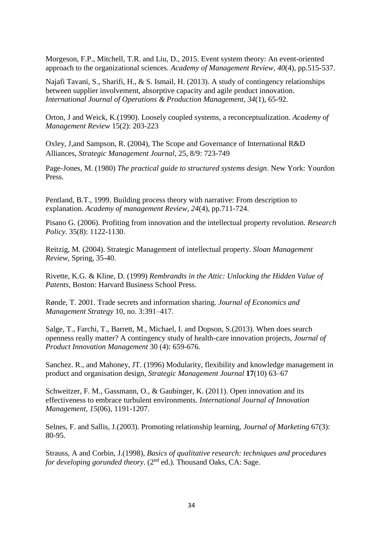Morgeson, F.P., Mitchell, T.R. and Liu, D., 2015. Event system theory: An event-oriented approach to the organizational sciences. *Academy of Management Review*, *40*(4), pp.515-537.

Najafi Tavani, S., Sharifi, H., & S. Ismail, H. (2013). A study of contingency relationships between supplier involvement, absorptive capacity and agile product innovation. *International Journal of Operations & Production Management*, *34*(1), 65-92.

Orton, J and Weick, K.(1990). Loosely coupled systems, a reconceptualization. *Academy of Management Review* 15(2): 203-223

Oxley, J,and Sampson, R. (2004), The Scope and Governance of International R&D Alliances, *Strategic Management Journal*, 25, 8/9: 723-749

Page-Jones, M. (1980) *The practical guide to structured systems design*. New York: Yourdon Press.

Pentland, B.T., 1999. Building process theory with narrative: From description to explanation. *Academy of management Review*, *24*(4), pp.711-724.

Pisano G. (2006). Profiting from innovation and the intellectual property revolution. *Research Policy*. 35(8): 1122-1130.

Reitzig, M. (2004). Strategic Management of intellectual property. *Sloan Management Review*, Spring, 35-40.

Rivette, K.G. & Kline, D. (1999) *Rembrandts in the Attic: Unlocking the Hidden Value of Patents*, Boston: Harvard Business School Press.

Rønde, T. 2001. Trade secrets and information sharing. *Journal of Economics and Management Strategy* 10, no. 3:391–417.

Salge, T., Farchi, T., Barrett, M., Michael, I. and Dopson, S.(2013). When does search openness really matter? A contingency study of health-care innovation projects, *Journal of Product Innovation Management* 30 (4): 659-676.

Sanchez. R., and Mahoney, JT. (1996) Modularity, flexibility and knowledge management in product and organisation design, *Strategic Management Journal* **17**(10) 63–67

Schweitzer, F. M., Gassmann, O., & Gaubinger, K. (2011). Open innovation and its effectiveness to embrace turbulent environments. *International Journal of Innovation Management*, *15*(06), 1191-1207.

Selnes, F. and Sallis, J.(2003). Promoting relationship learning, *Journal of Marketing* 67(3): 80-95.

Strauss, A and Corbin, J.(1998), *Basics of qualitative research: techniques and procedures for developing gorunded theory.* (2<sup>nd</sup> ed.). Thousand Oaks, CA: Sage.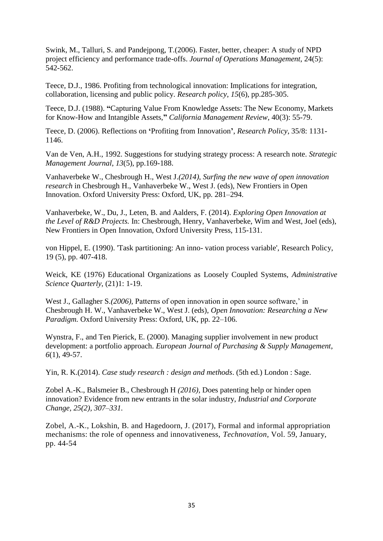Swink, M., Talluri, S. and Pandejpong, T.(2006). Faster, better, cheaper: A study of NPD project efficiency and performance trade-offs. *Journal of Operations Management*, 24(5): 542-562.

Teece, D.J., 1986. Profiting from technological innovation: Implications for integration, collaboration, licensing and public policy. *Research policy*, *15*(6), pp.285-305.

Teece, D.J. (1988). **"**Capturing Value From Knowledge Assets: The New Economy, Markets for Know-How and Intangible Assets,**"** *California Management Review*, 40(3): 55-79.

Teece, D. (2006). Reflections on **'**Profiting from Innovation**'**, *Research Policy*, 35/8: 1131- 1146.

Van de Ven, A.H., 1992. Suggestions for studying strategy process: A research note. *Strategic Management Journal*, *13*(5), pp.169-188.

Vanhaverbeke W., Chesbrough H., West J.*(2014), Surfing the new wave of open innovation research* in Chesbrough H., Vanhaverbeke W., West J. (eds), New Frontiers in Open Innovation. Oxford University Press: Oxford, UK, pp. 281–294.

Vanhaverbeke, W., Du, J., Leten, B. and Aalders, F. (2014). *Exploring Open Innovation at the Level of R&D Projects.* In: Chesbrough, Henry, Vanhaverbeke, Wim and West, Joel (eds), New Frontiers in Open Innovation, Oxford University Press, 115-131.

von Hippel, E. (1990). 'Task partitioning: An inno- vation process variable', Research Policy, 19 (5), pp. 407-418.

Weick, KE (1976) Educational Organizations as Loosely Coupled Systems, *Administrative Science Quarterly*, (21)1: 1-19.

West J., Gallagher S.*(2006),* Patterns of open innovation in open source software,' in Chesbrough H. W., Vanhaverbeke W., West J. (eds), *Open Innovation: Researching a New Paradigm.* Oxford University Press: Oxford, UK, pp. 22–106.

Wynstra, F., and Ten Pierick, E. (2000). Managing supplier involvement in new product development: a portfolio approach. *European Journal of Purchasing & Supply Management*, *6*(1), 49-57.

Yin, R. K.(2014). *Case study research : design and methods*. (5th ed.) London : Sage.

Zobel A.-K., Balsmeier B., Chesbrough H *(2016),* Does patenting help or hinder open innovation? Evidence from new entrants in the solar industry, *Industrial and Corporate Change, 25(2), 307–331.*

Zobel, A.-K., Lokshin, B. and Hagedoorn, J. (2017), Formal and informal appropriation mechanisms: the role of openness and innovativeness, *Technovation*, Vol. 59, January, pp. 44-54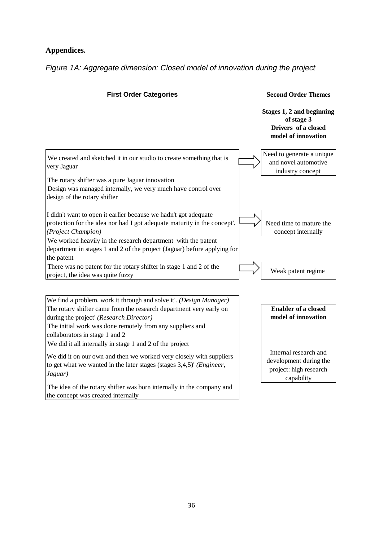## **Appendices.**

*Figure 1A: Aggregate dimension: Closed model of innovation during the project*

**First Order Categories Second Order Themes** 

**Stages 1, 2 and beginning of stage 3 Drivers of a closed model of innovation**

capability



We find a problem, work it through and solve it'. *(Design Manager)* The rotary shifter came from the research department very early on during the project' *(Research Director)* **Enabler of a closed model of innovation** The initial work was done remotely from any suppliers and collaborators in stage 1 and 2 We did it all internally in stage 1 and 2 of the project We did it on our own and then we worked very closely with suppliers to get what we wanted in the later stages (stages 3,4,5)' *(Engineer, Jaguar)* Internal research and development during the project: high research The idea of the rotary shifter was born internally in the company and

the concept was created internally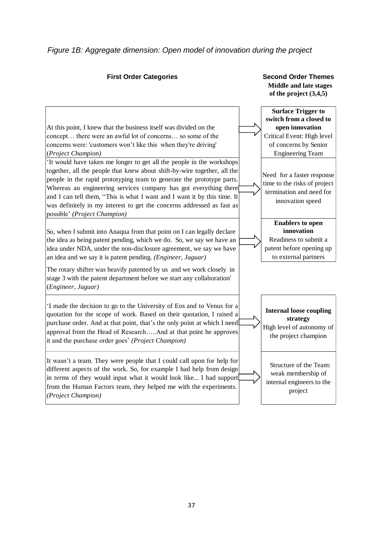### *Figure 1B: Aggregate dimension: Open model of innovation during the project*

#### **First Order Categories Second Order Themes Middle and late stages of the project (3,4,5)** At this point, I knew that the business itself was divided on the concept… there were an awful lot of concerns… so some of the concerns were: 'customers won't like this when they're driving' (*Project Champion)* **Surface Trigger to switch from a closed to open innovation**  Critical Event: High level of concerns by Senior Engineering Team 'It would have taken me longer to get all the people in the workshops together, all the people that knew about shift-by-wire together, all the people in the rapid prototyping team to generate the prototype parts. Whereas an engineering services company has got everything there and I can tell them, "This is what I want and I want it by this time. It was definitely in my interest to get the concerns addressed as fast as possible' *(Project Champion)* Need for a faster response time to the risks of project termination and need for innovation speed So, when I submit into Anaqua from that point on I can legally declare the idea as being patent pending, which we do. So, we say we have an idea under NDA, under the non-disclosure agreement, we say we have an idea and we say it is patent pending. *(Engineer, Jaguar)* **Enablers to open innovation**  Readiness to submit a patent before opening up to external partners The rotary shifter was heavily patented by us and we work closely in stage 3 with the patent department before we start any collaboration' (*Engineer, Jaguar)* 'I made the decision to go to the University of Eos and to Venus for a quotation for the scope of work. Based on their quotation, I raised a purchase order. And at that point, that's the only point at which I need approval from the Head of Research…..And at that point he approves it and the purchase order goes' *(Project Champion)* **Internal loose coupling strategy**  High level of autonomy of the project champion It wasn't a team. They were people that I could call upon for help for different aspects of the work. So, for example I had help from design in terms of they would input what it would look like... I had support from the Human Factors team, they helped me with the experiments. *(Project Champion)* Structure of the Team: weak membership of internal engineers to the project